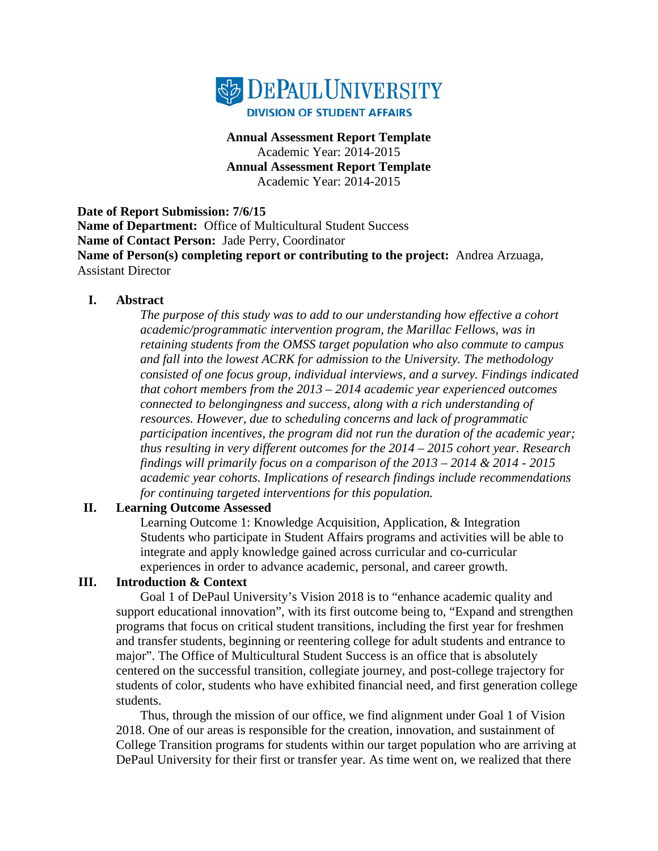

#### **Annual Assessment Report Template** Academic Year: 2014-2015 **Annual Assessment Report Template** Academic Year: 2014-2015

**Date of Report Submission: 7/6/15 Name of Department:** Office of Multicultural Student Success **Name of Contact Person:** Jade Perry, Coordinator **Name of Person(s) completing report or contributing to the project:** Andrea Arzuaga, Assistant Director

#### **I. Abstract**

*The purpose of this study was to add to our understanding how effective a cohort academic/programmatic intervention program, the Marillac Fellows, was in retaining students from the OMSS target population who also commute to campus and fall into the lowest ACRK for admission to the University. The methodology consisted of one focus group, individual interviews, and a survey. Findings indicated that cohort members from the 2013 – 2014 academic year experienced outcomes connected to belongingness and success, along with a rich understanding of resources. However, due to scheduling concerns and lack of programmatic participation incentives, the program did not run the duration of the academic year; thus resulting in very different outcomes for the 2014 – 2015 cohort year. Research findings will primarily focus on a comparison of the 2013 – 2014 & 2014 - 2015 academic year cohorts. Implications of research findings include recommendations for continuing targeted interventions for this population.*

#### **II. Learning Outcome Assessed**

Learning Outcome 1: Knowledge Acquisition, Application, & Integration Students who participate in Student Affairs programs and activities will be able to integrate and apply knowledge gained across curricular and co-curricular experiences in order to advance academic, personal, and career growth.

## **III. Introduction & Context**

Goal 1 of DePaul University's Vision 2018 is to "enhance academic quality and support educational innovation", with its first outcome being to, "Expand and strengthen programs that focus on critical student transitions, including the first year for freshmen and transfer students, beginning or reentering college for adult students and entrance to major". The Office of Multicultural Student Success is an office that is absolutely centered on the successful transition, collegiate journey, and post-college trajectory for students of color, students who have exhibited financial need, and first generation college students.

Thus, through the mission of our office, we find alignment under Goal 1 of Vision 2018. One of our areas is responsible for the creation, innovation, and sustainment of College Transition programs for students within our target population who are arriving at DePaul University for their first or transfer year. As time went on, we realized that there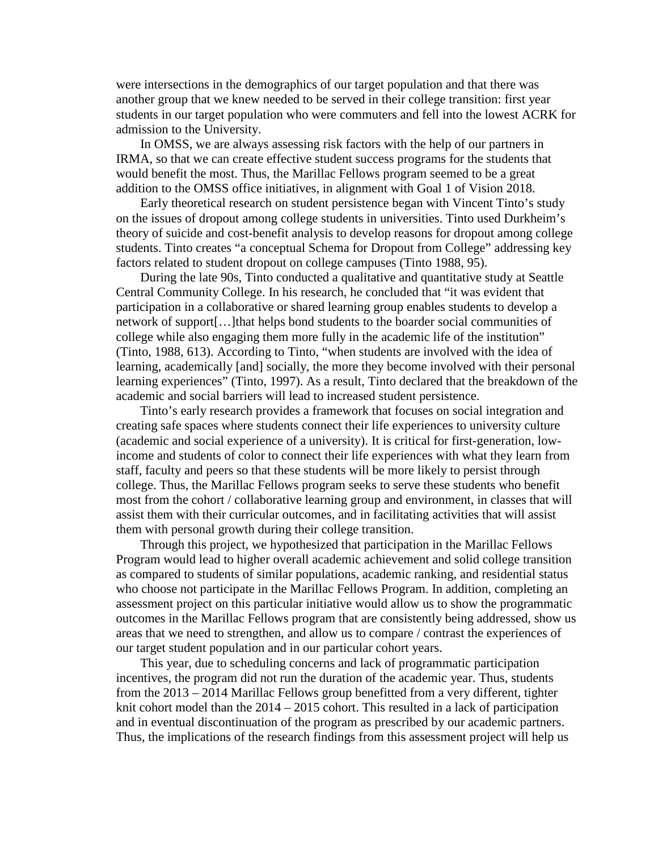were intersections in the demographics of our target population and that there was another group that we knew needed to be served in their college transition: first year students in our target population who were commuters and fell into the lowest ACRK for admission to the University.

In OMSS, we are always assessing risk factors with the help of our partners in IRMA, so that we can create effective student success programs for the students that would benefit the most. Thus, the Marillac Fellows program seemed to be a great addition to the OMSS office initiatives, in alignment with Goal 1 of Vision 2018.

Early theoretical research on student persistence began with Vincent Tinto's study on the issues of dropout among college students in universities. Tinto used Durkheim's theory of suicide and cost-benefit analysis to develop reasons for dropout among college students. Tinto creates "a conceptual Schema for Dropout from College" addressing key factors related to student dropout on college campuses (Tinto 1988, 95).

During the late 90s, Tinto conducted a qualitative and quantitative study at Seattle Central Community College. In his research, he concluded that "it was evident that participation in a collaborative or shared learning group enables students to develop a network of support[…]that helps bond students to the boarder social communities of college while also engaging them more fully in the academic life of the institution" (Tinto, 1988, 613). According to Tinto, "when students are involved with the idea of learning, academically [and] socially, the more they become involved with their personal learning experiences" (Tinto, 1997). As a result, Tinto declared that the breakdown of the academic and social barriers will lead to increased student persistence.

Tinto's early research provides a framework that focuses on social integration and creating safe spaces where students connect their life experiences to university culture (academic and social experience of a university). It is critical for first-generation, lowincome and students of color to connect their life experiences with what they learn from staff, faculty and peers so that these students will be more likely to persist through college. Thus, the Marillac Fellows program seeks to serve these students who benefit most from the cohort / collaborative learning group and environment, in classes that will assist them with their curricular outcomes, and in facilitating activities that will assist them with personal growth during their college transition.

Through this project, we hypothesized that participation in the Marillac Fellows Program would lead to higher overall academic achievement and solid college transition as compared to students of similar populations, academic ranking, and residential status who choose not participate in the Marillac Fellows Program. In addition, completing an assessment project on this particular initiative would allow us to show the programmatic outcomes in the Marillac Fellows program that are consistently being addressed, show us areas that we need to strengthen, and allow us to compare / contrast the experiences of our target student population and in our particular cohort years.

This year, due to scheduling concerns and lack of programmatic participation incentives, the program did not run the duration of the academic year. Thus, students from the 2013 – 2014 Marillac Fellows group benefitted from a very different, tighter knit cohort model than the 2014 – 2015 cohort. This resulted in a lack of participation and in eventual discontinuation of the program as prescribed by our academic partners. Thus, the implications of the research findings from this assessment project will help us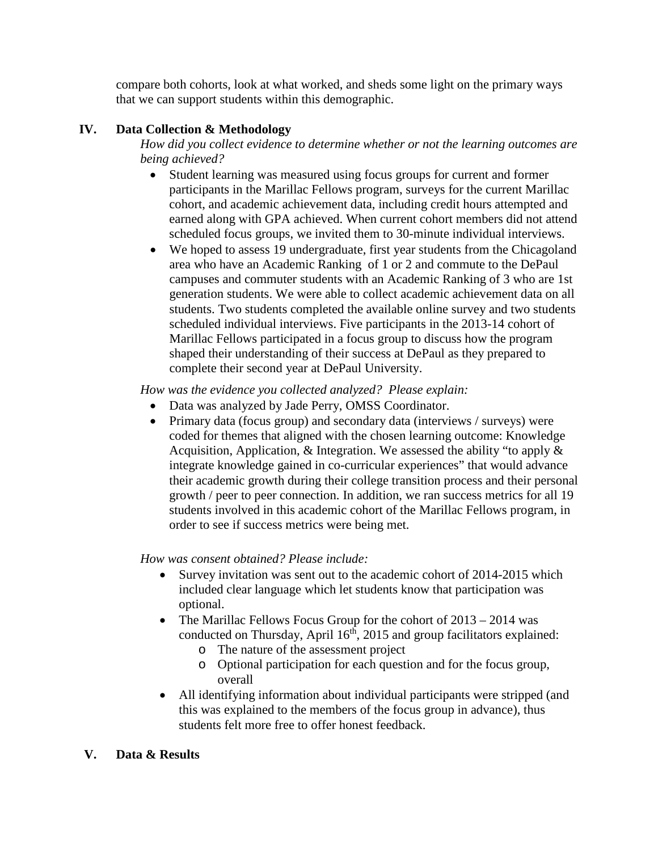compare both cohorts, look at what worked, and sheds some light on the primary ways that we can support students within this demographic.

## **IV. Data Collection & Methodology**

*How did you collect evidence to determine whether or not the learning outcomes are being achieved?* 

- Student learning was measured using focus groups for current and former participants in the Marillac Fellows program, surveys for the current Marillac cohort, and academic achievement data, including credit hours attempted and earned along with GPA achieved. When current cohort members did not attend scheduled focus groups, we invited them to 30-minute individual interviews.
- We hoped to assess 19 undergraduate, first year students from the Chicagoland area who have an Academic Ranking of 1 or 2 and commute to the DePaul campuses and commuter students with an Academic Ranking of 3 who are 1st generation students. We were able to collect academic achievement data on all students. Two students completed the available online survey and two students scheduled individual interviews. Five participants in the 2013-14 cohort of Marillac Fellows participated in a focus group to discuss how the program shaped their understanding of their success at DePaul as they prepared to complete their second year at DePaul University.

*How was the evidence you collected analyzed? Please explain:*

- Data was analyzed by Jade Perry, OMSS Coordinator.
- Primary data (focus group) and secondary data (interviews / surveys) were coded for themes that aligned with the chosen learning outcome: Knowledge Acquisition, Application, & Integration. We assessed the ability "to apply & integrate knowledge gained in co-curricular experiences" that would advance their academic growth during their college transition process and their personal growth / peer to peer connection. In addition, we ran success metrics for all 19 students involved in this academic cohort of the Marillac Fellows program, in order to see if success metrics were being met.

# *How was consent obtained? Please include:*

- Survey invitation was sent out to the academic cohort of 2014-2015 which included clear language which let students know that participation was optional.
- The Marillac Fellows Focus Group for the cohort of  $2013 2014$  was conducted on Thursday, April  $16<sup>th</sup>$ , 2015 and group facilitators explained:
	- o The nature of the assessment project
	- o Optional participation for each question and for the focus group, overall
- All identifying information about individual participants were stripped (and this was explained to the members of the focus group in advance), thus students felt more free to offer honest feedback.

# **V. Data & Results**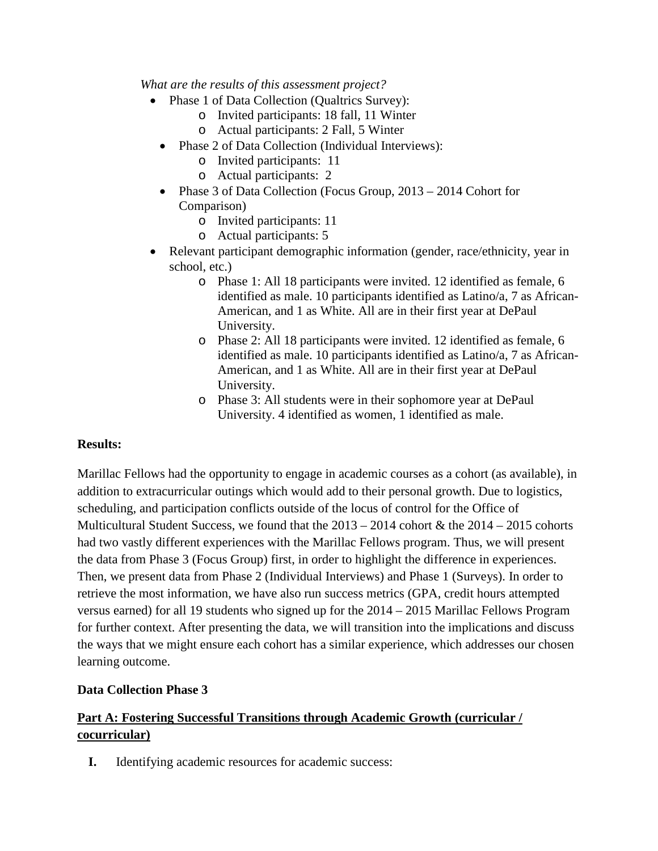*What are the results of this assessment project?* 

- Phase 1 of Data Collection (Qualtrics Survey):
	- o Invited participants: 18 fall, 11 Winter
	- o Actual participants: 2 Fall, 5 Winter
	- Phase 2 of Data Collection (Individual Interviews):
		- o Invited participants: 11
		- o Actual participants: 2
	- Phase 3 of Data Collection (Focus Group, 2013 2014 Cohort for Comparison)
		- o Invited participants: 11
		- o Actual participants: 5
- Relevant participant demographic information (gender, race/ethnicity, year in school, etc.)
	- o Phase 1: All 18 participants were invited. 12 identified as female, 6 identified as male. 10 participants identified as Latino/a, 7 as African-American, and 1 as White. All are in their first year at DePaul University.
	- o Phase 2: All 18 participants were invited. 12 identified as female, 6 identified as male. 10 participants identified as Latino/a, 7 as African-American, and 1 as White. All are in their first year at DePaul University.
	- o Phase 3: All students were in their sophomore year at DePaul University. 4 identified as women, 1 identified as male.

## **Results:**

Marillac Fellows had the opportunity to engage in academic courses as a cohort (as available), in addition to extracurricular outings which would add to their personal growth. Due to logistics, scheduling, and participation conflicts outside of the locus of control for the Office of Multicultural Student Success, we found that the  $2013 - 2014$  cohort & the  $2014 - 2015$  cohorts had two vastly different experiences with the Marillac Fellows program. Thus, we will present the data from Phase 3 (Focus Group) first, in order to highlight the difference in experiences. Then, we present data from Phase 2 (Individual Interviews) and Phase 1 (Surveys). In order to retrieve the most information, we have also run success metrics (GPA, credit hours attempted versus earned) for all 19 students who signed up for the 2014 – 2015 Marillac Fellows Program for further context. After presenting the data, we will transition into the implications and discuss the ways that we might ensure each cohort has a similar experience, which addresses our chosen learning outcome.

## **Data Collection Phase 3**

# **Part A: Fostering Successful Transitions through Academic Growth (curricular / cocurricular)**

**I.** Identifying academic resources for academic success: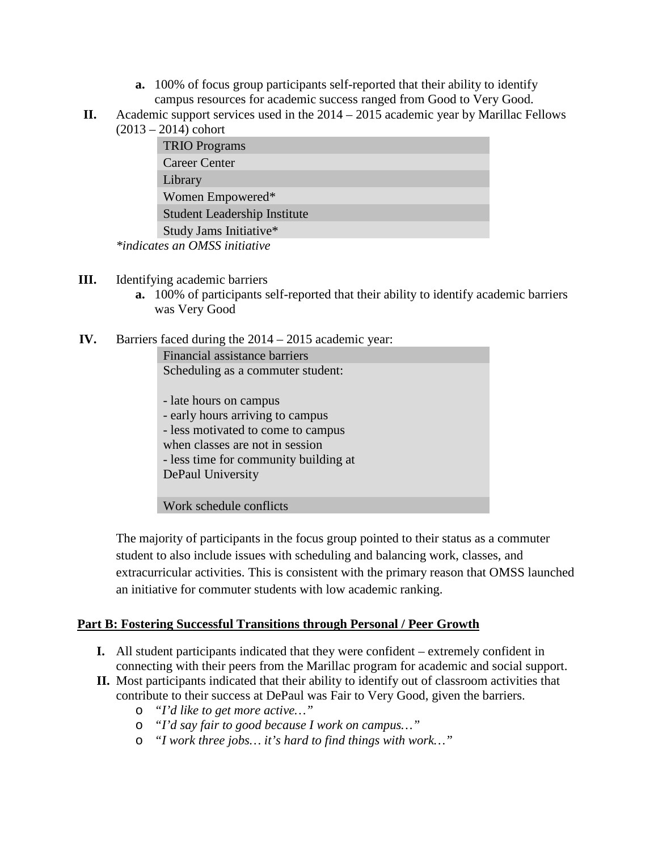- **a.** 100% of focus group participants self-reported that their ability to identify campus resources for academic success ranged from Good to Very Good.
- **II.** Academic support services used in the 2014 2015 academic year by Marillac Fellows  $(2013 - 2014)$  cohort

| <b>TRIO</b> Programs                             |
|--------------------------------------------------|
| <b>Career Center</b>                             |
| Library                                          |
| Women Empowered*                                 |
| <b>Student Leadership Institute</b>              |
| Study Jams Initiative*                           |
| $\sim$ $\sim$ $\sim$ $\sim$ $\sim$ $\sim$ $\sim$ |

*\*indicates an OMSS initiative*

- **III.** Identifying academic barriers
	- **a.** 100% of participants self-reported that their ability to identify academic barriers was Very Good
- **IV.** Barriers faced during the 2014 2015 academic year:

Financial assistance barriers Scheduling as a commuter student:

- late hours on campus - early hours arriving to campus - less motivated to come to campus when classes are not in session - less time for community building at DePaul University

Work schedule conflicts

The majority of participants in the focus group pointed to their status as a commuter student to also include issues with scheduling and balancing work, classes, and extracurricular activities. This is consistent with the primary reason that OMSS launched an initiative for commuter students with low academic ranking.

## **Part B: Fostering Successful Transitions through Personal / Peer Growth**

- **I.** All student participants indicated that they were confident extremely confident in connecting with their peers from the Marillac program for academic and social support.
- **II.** Most participants indicated that their ability to identify out of classroom activities that contribute to their success at DePaul was Fair to Very Good, given the barriers.
	- o *"I'd like to get more active…"*
	- o *"I'd say fair to good because I work on campus…"*
	- o *"I work three jobs… it's hard to find things with work…"*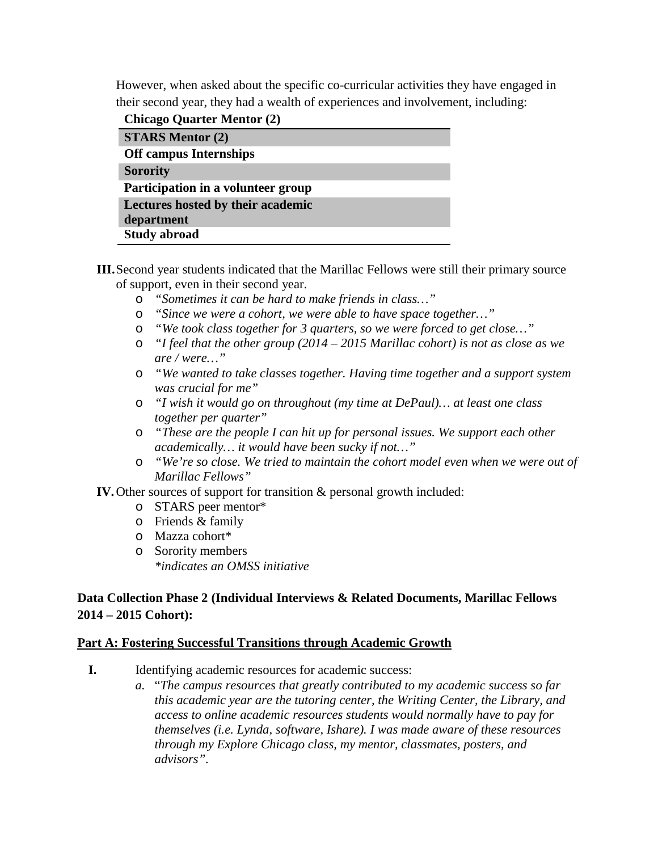However, when asked about the specific co-curricular activities they have engaged in their second year, they had a wealth of experiences and involvement, including:

**Chicago Quarter Mentor (2)**

| <b>STARS Mentor (2)</b>            |  |  |  |  |
|------------------------------------|--|--|--|--|
| <b>Off campus Internships</b>      |  |  |  |  |
| <b>Sorority</b>                    |  |  |  |  |
| Participation in a volunteer group |  |  |  |  |
| Lectures hosted by their academic  |  |  |  |  |
| department                         |  |  |  |  |
| <b>Study abroad</b>                |  |  |  |  |

- **III.**Second year students indicated that the Marillac Fellows were still their primary source of support, even in their second year.
	- o *"Sometimes it can be hard to make friends in class…"*
	- o *"Since we were a cohort, we were able to have space together…"*
	- o *"We took class together for 3 quarters, so we were forced to get close…"*
	- o *"I feel that the other group (2014 – 2015 Marillac cohort) is not as close as we are / were…"*
	- o *"We wanted to take classes together. Having time together and a support system was crucial for me"*
	- o *"I wish it would go on throughout (my time at DePaul)… at least one class together per quarter"*
	- o *"These are the people I can hit up for personal issues. We support each other academically… it would have been sucky if not…"*
	- o *"We're so close. We tried to maintain the cohort model even when we were out of Marillac Fellows"*

**IV.**Other sources of support for transition & personal growth included:

- o STARS peer mentor\*
- o Friends & family
- o Mazza cohort\*
- o Sorority members *\*indicates an OMSS initiative*

## **Data Collection Phase 2 (Individual Interviews & Related Documents, Marillac Fellows 2014 – 2015 Cohort):**

## **Part A: Fostering Successful Transitions through Academic Growth**

- **I.** Identifying academic resources for academic success:
	- *a.* "*The campus resources that greatly contributed to my academic success so far this academic year are the tutoring center, the Writing Center, the Library, and access to online academic resources students would normally have to pay for themselves (i.e. Lynda, software, Ishare). I was made aware of these resources through my Explore Chicago class, my mentor, classmates, posters, and advisors".*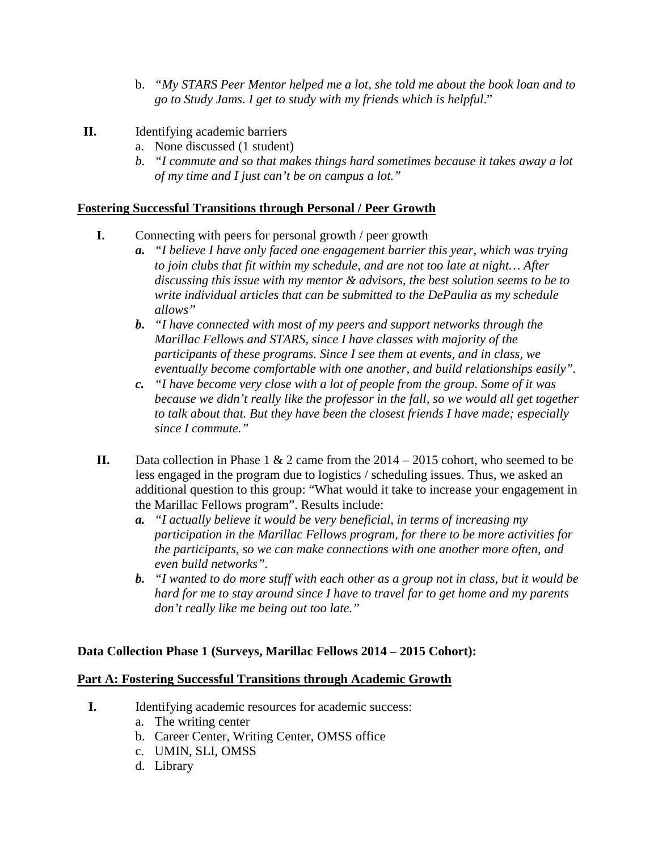- b. *"My STARS Peer Mentor helped me a lot, she told me about the book loan and to go to Study Jams. I get to study with my friends which is helpful*."
- **II.** Identifying academic barriers
	- a. None discussed (1 student)
	- *b. "I commute and so that makes things hard sometimes because it takes away a lot of my time and I just can't be on campus a lot."*

## **Fostering Successful Transitions through Personal / Peer Growth**

- **I.** Connecting with peers for personal growth / peer growth
	- *a. "I believe I have only faced one engagement barrier this year, which was trying to join clubs that fit within my schedule, and are not too late at night… After discussing this issue with my mentor & advisors, the best solution seems to be to write individual articles that can be submitted to the DePaulia as my schedule allows"*
	- *b. "I have connected with most of my peers and support networks through the Marillac Fellows and STARS, since I have classes with majority of the participants of these programs. Since I see them at events, and in class, we eventually become comfortable with one another, and build relationships easily".*
	- *c. "I have become very close with a lot of people from the group. Some of it was because we didn't really like the professor in the fall, so we would all get together to talk about that. But they have been the closest friends I have made; especially since I commute."*
- **II.** Data collection in Phase 1 & 2 came from the 2014 2015 cohort, who seemed to be less engaged in the program due to logistics / scheduling issues. Thus, we asked an additional question to this group: "What would it take to increase your engagement in the Marillac Fellows program". Results include:
	- *a. "I actually believe it would be very beneficial, in terms of increasing my participation in the Marillac Fellows program, for there to be more activities for the participants, so we can make connections with one another more often, and even build networks".*
	- *b. "I wanted to do more stuff with each other as a group not in class, but it would be hard for me to stay around since I have to travel far to get home and my parents don't really like me being out too late."*

## **Data Collection Phase 1 (Surveys, Marillac Fellows 2014 – 2015 Cohort):**

#### **Part A: Fostering Successful Transitions through Academic Growth**

- **I.** Identifying academic resources for academic success:
	- a. The writing center
	- b. Career Center, Writing Center, OMSS office
	- c. UMIN, SLI, OMSS
	- d. Library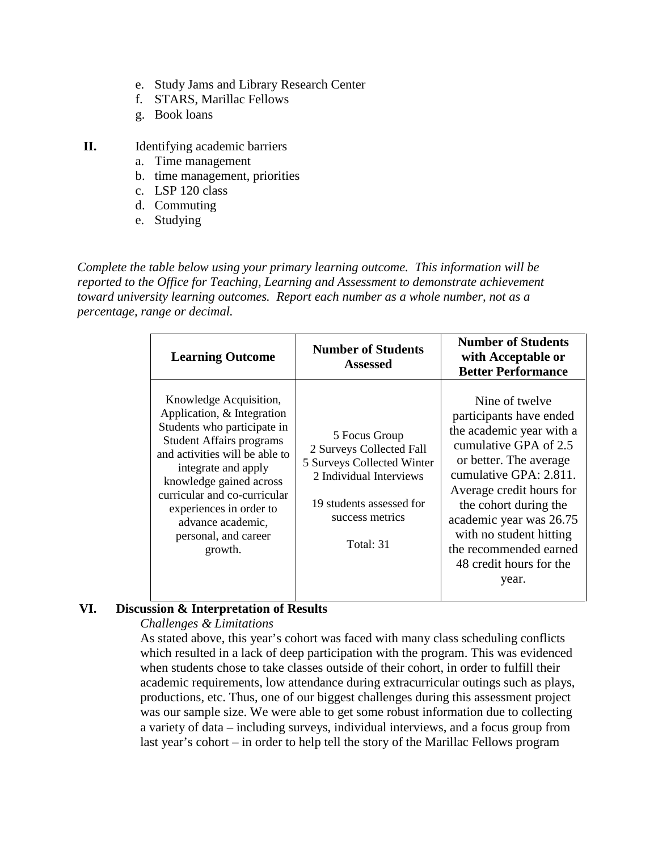- e. Study Jams and Library Research Center
- f. STARS, Marillac Fellows
- g. Book loans
- **II.** Identifying academic barriers
	- a. Time management
	- b. time management, priorities
	- c. LSP 120 class
	- d. Commuting
	- e. Studying

*Complete the table below using your primary learning outcome. This information will be reported to the Office for Teaching, Learning and Assessment to demonstrate achievement toward university learning outcomes. Report each number as a whole number, not as a percentage, range or decimal.*

| <b>Learning Outcome</b>                                                                                                                                                                                                                                                                                                       | <b>Number of Students</b><br><b>Assessed</b>                                                                                                                   | <b>Number of Students</b><br>with Acceptable or<br><b>Better Performance</b>                                                                                                                                                                                                                                                |
|-------------------------------------------------------------------------------------------------------------------------------------------------------------------------------------------------------------------------------------------------------------------------------------------------------------------------------|----------------------------------------------------------------------------------------------------------------------------------------------------------------|-----------------------------------------------------------------------------------------------------------------------------------------------------------------------------------------------------------------------------------------------------------------------------------------------------------------------------|
| Knowledge Acquisition,<br>Application, & Integration<br>Students who participate in<br><b>Student Affairs programs</b><br>and activities will be able to<br>integrate and apply<br>knowledge gained across<br>curricular and co-curricular<br>experiences in order to<br>advance academic,<br>personal, and career<br>growth. | 5 Focus Group<br>2 Surveys Collected Fall<br>5 Surveys Collected Winter<br>2 Individual Interviews<br>19 students assessed for<br>success metrics<br>Total: 31 | Nine of twelve<br>participants have ended<br>the academic year with a<br>cumulative GPA of 2.5<br>or better. The average<br>cumulative GPA: 2.811.<br>Average credit hours for<br>the cohort during the<br>academic year was 26.75<br>with no student hitting<br>the recommended earned<br>48 credit hours for the<br>year. |

# **VI. Discussion & Interpretation of Results**

## *Challenges & Limitations*

As stated above, this year's cohort was faced with many class scheduling conflicts which resulted in a lack of deep participation with the program. This was evidenced when students chose to take classes outside of their cohort, in order to fulfill their academic requirements, low attendance during extracurricular outings such as plays, productions, etc. Thus, one of our biggest challenges during this assessment project was our sample size. We were able to get some robust information due to collecting a variety of data – including surveys, individual interviews, and a focus group from last year's cohort – in order to help tell the story of the Marillac Fellows program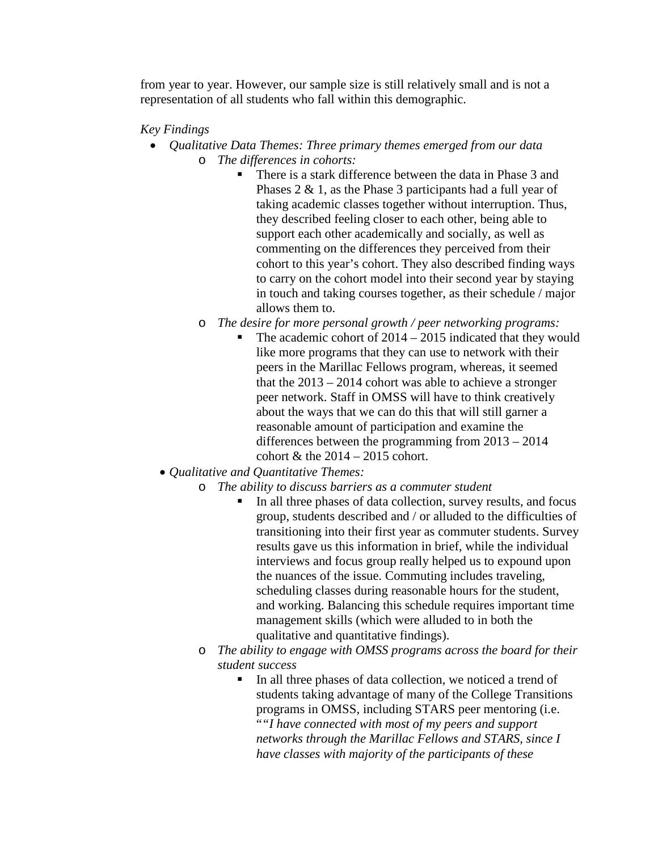from year to year. However, our sample size is still relatively small and is not a representation of all students who fall within this demographic.

#### *Key Findings*

- *Qualitative Data Themes: Three primary themes emerged from our data* o *The differences in cohorts:*
	- There is a stark difference between the data in Phase 3 and Phases 2 & 1, as the Phase 3 participants had a full year of taking academic classes together without interruption. Thus, they described feeling closer to each other, being able to support each other academically and socially, as well as commenting on the differences they perceived from their cohort to this year's cohort. They also described finding ways to carry on the cohort model into their second year by staying in touch and taking courses together, as their schedule / major allows them to.
	- o *The desire for more personal growth / peer networking programs:*
		- The academic cohort of 2014 2015 indicated that they would like more programs that they can use to network with their peers in the Marillac Fellows program, whereas, it seemed that the 2013 – 2014 cohort was able to achieve a stronger peer network. Staff in OMSS will have to think creatively about the ways that we can do this that will still garner a reasonable amount of participation and examine the differences between the programming from 2013 – 2014 cohort  $&$  the  $2014 - 2015$  cohort.
	- *Qualitative and Quantitative Themes:*
		- o *The ability to discuss barriers as a commuter student*
			- In all three phases of data collection, survey results, and focus group, students described and / or alluded to the difficulties of transitioning into their first year as commuter students. Survey results gave us this information in brief, while the individual interviews and focus group really helped us to expound upon the nuances of the issue. Commuting includes traveling, scheduling classes during reasonable hours for the student, and working. Balancing this schedule requires important time management skills (which were alluded to in both the qualitative and quantitative findings).
		- o *The ability to engage with OMSS programs across the board for their student success*
			- In all three phases of data collection, we noticed a trend of students taking advantage of many of the College Transitions programs in OMSS, including STARS peer mentoring (i.e. "*"I have connected with most of my peers and support networks through the Marillac Fellows and STARS, since I have classes with majority of the participants of these*